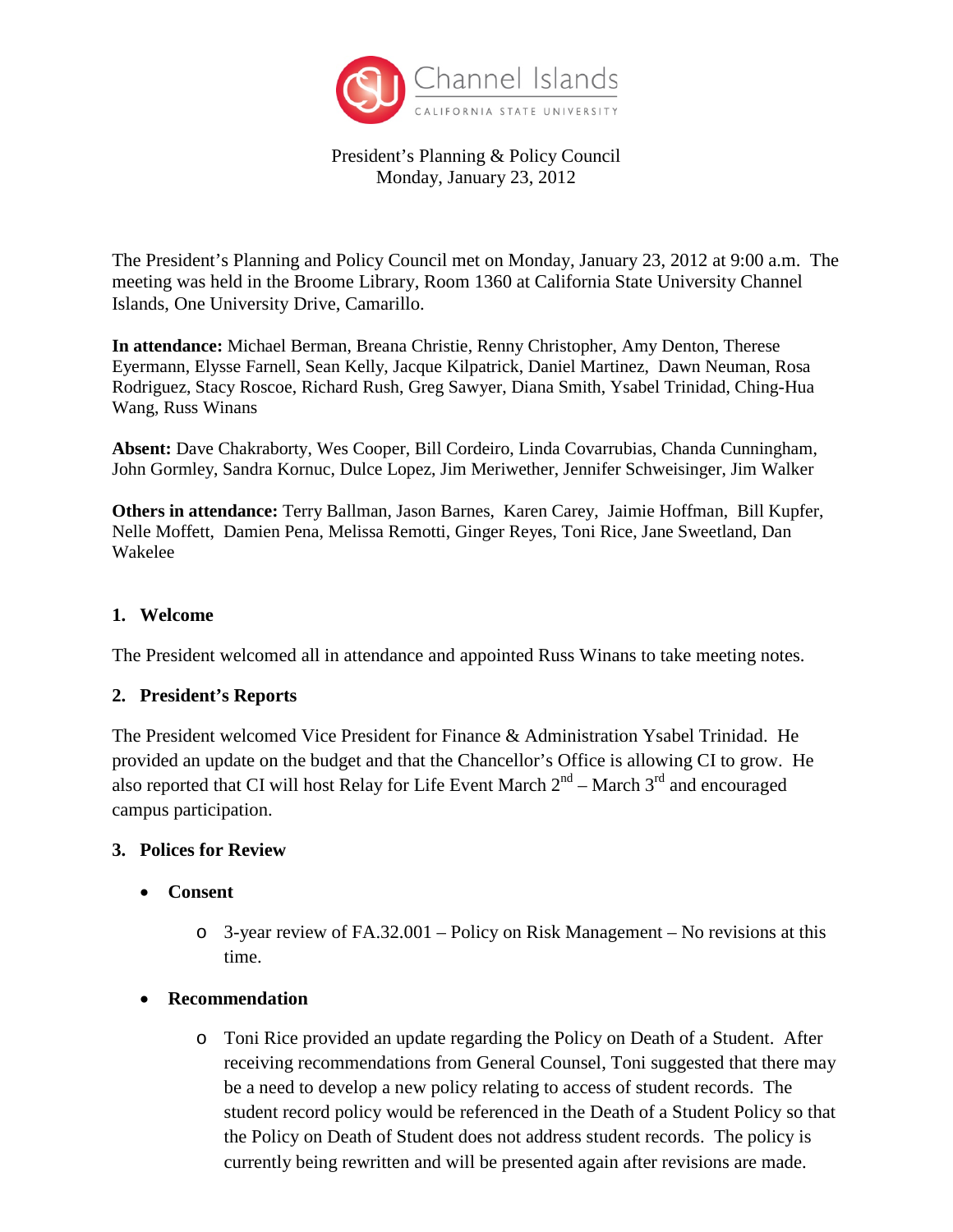

President's Planning & Policy Council Monday, January 23, 2012

The President's Planning and Policy Council met on Monday, January 23, 2012 at 9:00 a.m. The meeting was held in the Broome Library, Room 1360 at California State University Channel Islands, One University Drive, Camarillo.

**In attendance:** Michael Berman, Breana Christie, Renny Christopher, Amy Denton, Therese Eyermann, Elysse Farnell, Sean Kelly, Jacque Kilpatrick, Daniel Martinez, Dawn Neuman, Rosa Rodriguez, Stacy Roscoe, Richard Rush, Greg Sawyer, Diana Smith, Ysabel Trinidad, Ching-Hua Wang, Russ Winans

**Absent:** Dave Chakraborty, Wes Cooper, Bill Cordeiro, Linda Covarrubias, Chanda Cunningham, John Gormley, Sandra Kornuc, Dulce Lopez, Jim Meriwether, Jennifer Schweisinger, Jim Walker

**Others in attendance:** Terry Ballman, Jason Barnes, Karen Carey, Jaimie Hoffman, Bill Kupfer, Nelle Moffett, Damien Pena, Melissa Remotti, Ginger Reyes, Toni Rice, Jane Sweetland, Dan Wakelee

### **1. Welcome**

The President welcomed all in attendance and appointed Russ Winans to take meeting notes.

#### **2. President's Reports**

The President welcomed Vice President for Finance & Administration Ysabel Trinidad. He provided an update on the budget and that the Chancellor's Office is allowing CI to grow. He also reported that CI will host Relay for Life Event March  $2<sup>nd</sup>$  – March  $3<sup>rd</sup>$  and encouraged campus participation.

#### **3. Polices for Review**

- **Consent**
	- o 3-year review of FA.32.001 Policy on Risk Management No revisions at this time.
- **Recommendation**
	- o Toni Rice provided an update regarding the Policy on Death of a Student. After receiving recommendations from General Counsel, Toni suggested that there may be a need to develop a new policy relating to access of student records. The student record policy would be referenced in the Death of a Student Policy so that the Policy on Death of Student does not address student records. The policy is currently being rewritten and will be presented again after revisions are made.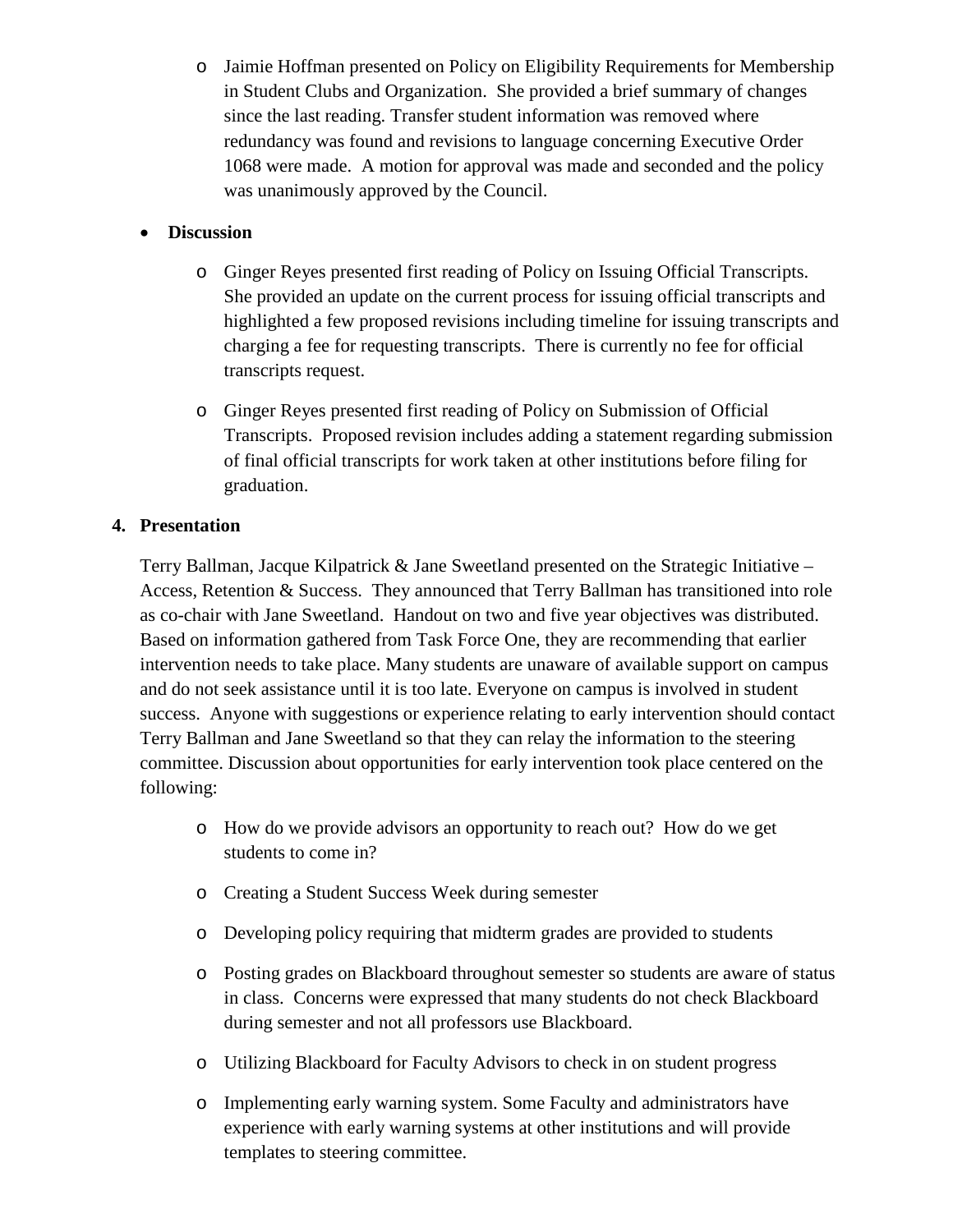o Jaimie Hoffman presented on Policy on Eligibility Requirements for Membership in Student Clubs and Organization. She provided a brief summary of changes since the last reading. Transfer student information was removed where redundancy was found and revisions to language concerning Executive Order 1068 were made. A motion for approval was made and seconded and the policy was unanimously approved by the Council.

## • **Discussion**

- o Ginger Reyes presented first reading of Policy on Issuing Official Transcripts. She provided an update on the current process for issuing official transcripts and highlighted a few proposed revisions including timeline for issuing transcripts and charging a fee for requesting transcripts. There is currently no fee for official transcripts request.
- o Ginger Reyes presented first reading of Policy on Submission of Official Transcripts. Proposed revision includes adding a statement regarding submission of final official transcripts for work taken at other institutions before filing for graduation.

# **4. Presentation**

Terry Ballman, Jacque Kilpatrick & Jane Sweetland presented on the Strategic Initiative – Access, Retention & Success. They announced that Terry Ballman has transitioned into role as co-chair with Jane Sweetland. Handout on two and five year objectives was distributed. Based on information gathered from Task Force One, they are recommending that earlier intervention needs to take place. Many students are unaware of available support on campus and do not seek assistance until it is too late. Everyone on campus is involved in student success. Anyone with suggestions or experience relating to early intervention should contact Terry Ballman and Jane Sweetland so that they can relay the information to the steering committee. Discussion about opportunities for early intervention took place centered on the following:

- o How do we provide advisors an opportunity to reach out? How do we get students to come in?
- o Creating a Student Success Week during semester
- o Developing policy requiring that midterm grades are provided to students
- o Posting grades on Blackboard throughout semester so students are aware of status in class. Concerns were expressed that many students do not check Blackboard during semester and not all professors use Blackboard.
- o Utilizing Blackboard for Faculty Advisors to check in on student progress
- o Implementing early warning system. Some Faculty and administrators have experience with early warning systems at other institutions and will provide templates to steering committee.